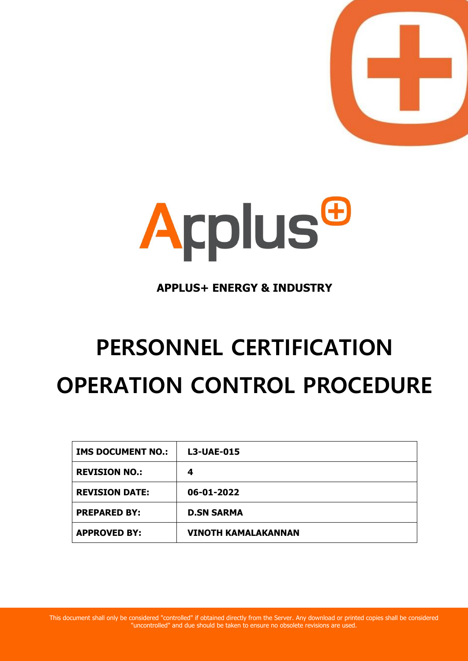



## **APPLUS+ ENERGY & INDUSTRY**

# **PERSONNEL CERTIFICATION OPERATION CONTROL PROCEDURE**

| <b>IMS DOCUMENT NO.:</b> | <b>L3-UAE-015</b>          |
|--------------------------|----------------------------|
| <b>REVISION NO.:</b>     | 4                          |
| <b>REVISION DATE:</b>    | 06-01-2022                 |
| <b>PREPARED BY:</b>      | <b>D.SN SARMA</b>          |
| <b>APPROVED BY:</b>      | <b>VINOTH KAMALAKANNAN</b> |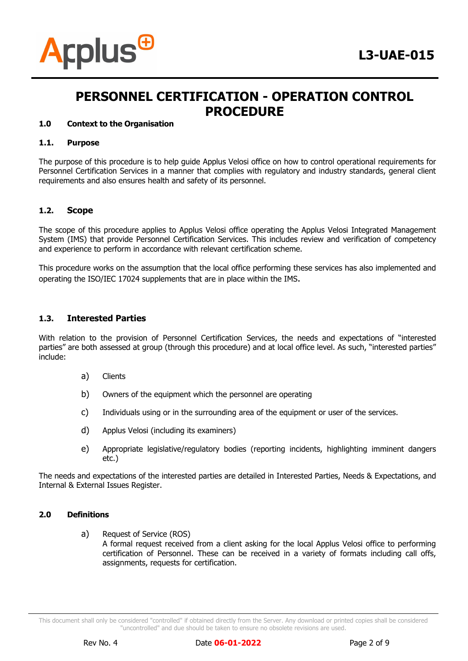

#### **1.0 Context to the Organisation**

#### **1.1. Purpose**

The purpose of this procedure is to help guide Applus Velosi office on how to control operational requirements for Personnel Certification Services in a manner that complies with regulatory and industry standards, general client requirements and also ensures health and safety of its personnel.

#### **1.2. Scope**

The scope of this procedure applies to Applus Velosi office operating the Applus Velosi Integrated Management System (IMS) that provide Personnel Certification Services. This includes review and verification of competency and experience to perform in accordance with relevant certification scheme.

This procedure works on the assumption that the local office performing these services has also implemented and operating the ISO/IEC 17024 supplements that are in place within the IMS.

#### **1.3. Interested Parties**

With relation to the provision of Personnel Certification Services, the needs and expectations of "interested parties" are both assessed at group (through this procedure) and at local office level. As such, "interested parties" include:

- a) Clients
- b) Owners of the equipment which the personnel are operating
- c) Individuals using or in the surrounding area of the equipment or user of the services.
- d) Applus Velosi (including its examiners)
- e) Appropriate legislative/regulatory bodies (reporting incidents, highlighting imminent dangers etc.)

The needs and expectations of the interested parties are detailed in Interested Parties, Needs & Expectations, and Internal & External Issues Register.

#### **2.0 Definitions**

a) Request of Service (ROS)

A formal request received from a client asking for the local Applus Velosi office to performing certification of Personnel. These can be received in a variety of formats including call offs, assignments, requests for certification.

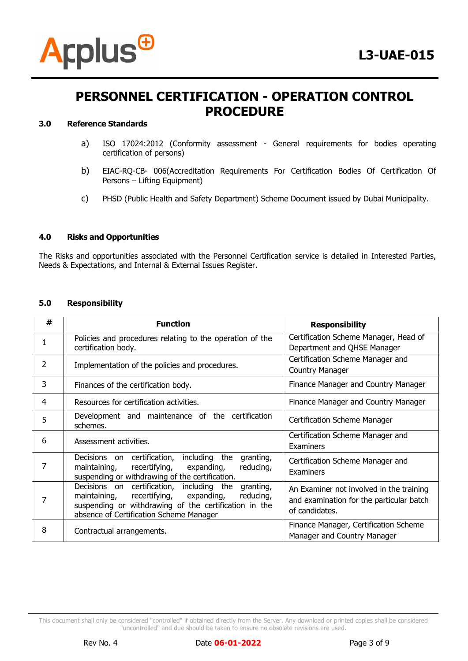

### **3.0 Reference Standards**

- a) ISO 17024:2012 (Conformity assessment General requirements for bodies operating certification of persons)
- b) EIAC-RQ-CB- 006(Accreditation Requirements For Certification Bodies Of Certification Of Persons – Lifting Equipment)
- c) PHSD (Public Health and Safety Department) Scheme Document issued by Dubai Municipality.

## **4.0 Risks and Opportunities**

The Risks and opportunities associated with the Personnel Certification service is detailed in Interested Parties, Needs & Expectations, and Internal & External Issues Register.

#### **5.0 Responsibility**

| # | <b>Function</b>                                                                                                                                                                                                        | <b>Responsibility</b>                                                                                  |  |
|---|------------------------------------------------------------------------------------------------------------------------------------------------------------------------------------------------------------------------|--------------------------------------------------------------------------------------------------------|--|
|   | Policies and procedures relating to the operation of the<br>certification body.                                                                                                                                        | Certification Scheme Manager, Head of<br>Department and QHSE Manager                                   |  |
| 2 | Implementation of the policies and procedures.                                                                                                                                                                         | Certification Scheme Manager and<br><b>Country Manager</b>                                             |  |
| 3 | Finances of the certification body.                                                                                                                                                                                    | Finance Manager and Country Manager                                                                    |  |
| 4 | Resources for certification activities.                                                                                                                                                                                | Finance Manager and Country Manager                                                                    |  |
| 5 | Development and maintenance of the certification<br>schemes.                                                                                                                                                           | Certification Scheme Manager                                                                           |  |
| 6 | Assessment activities.                                                                                                                                                                                                 | Certification Scheme Manager and<br>Examiners                                                          |  |
|   | including the<br>Decisions on certification,<br>granting,<br>recertifying,<br>maintaining,<br>expanding,<br>reducing,<br>suspending or withdrawing of the certification.                                               | Certification Scheme Manager and<br><b>Examiners</b>                                                   |  |
|   | Decisions on certification, including the<br>granting,<br>recertifying,<br>expanding,<br>maintaining,<br>reducing,<br>suspending or withdrawing of the certification in the<br>absence of Certification Scheme Manager | An Examiner not involved in the training<br>and examination for the particular batch<br>of candidates. |  |
| 8 | Contractual arrangements.                                                                                                                                                                                              | Finance Manager, Certification Scheme<br>Manager and Country Manager                                   |  |

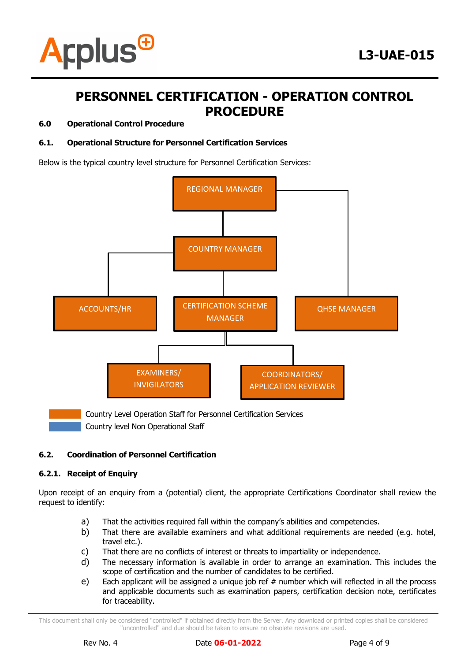

#### **6.0 Operational Control Procedure**

## **6.1. Operational Structure for Personnel Certification Services**

Below is the typical country level structure for Personnel Certification Services:



Country level Non Operational Staff

## **6.2. Coordination of Personnel Certification**

#### **6.2.1. Receipt of Enquiry**

Upon receipt of an enquiry from a (potential) client, the appropriate Certifications Coordinator shall review the request to identify:

- a) That the activities required fall within the company's abilities and competencies.
- b) That there are available examiners and what additional requirements are needed (e.g. hotel, travel etc.).
- c) That there are no conflicts of interest or threats to impartiality or independence.
- d) The necessary information is available in order to arrange an examination. This includes the scope of certification and the number of candidates to be certified.
- e) Each applicant will be assigned a unique job ref # number which will reflected in all the process and applicable documents such as examination papers, certification decision note, certificates for traceability.

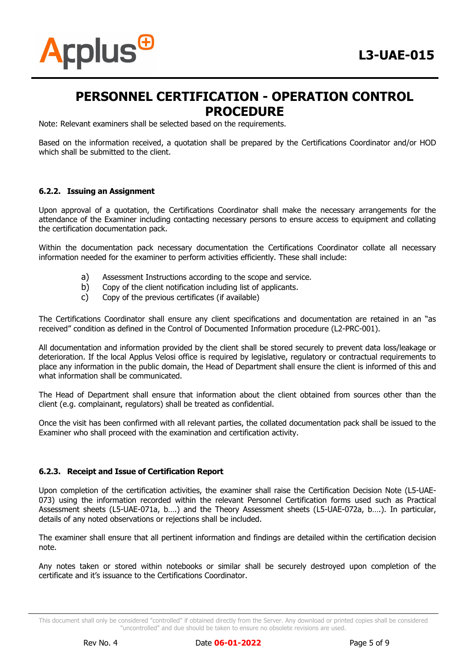

Note: Relevant examiners shall be selected based on the requirements.

Based on the information received, a quotation shall be prepared by the Certifications Coordinator and/or HOD which shall be submitted to the client.

#### **6.2.2. Issuing an Assignment**

Upon approval of a quotation, the Certifications Coordinator shall make the necessary arrangements for the attendance of the Examiner including contacting necessary persons to ensure access to equipment and collating the certification documentation pack.

Within the documentation pack necessary documentation the Certifications Coordinator collate all necessary information needed for the examiner to perform activities efficiently. These shall include:

- a) Assessment Instructions according to the scope and service.
- b) Copy of the client notification including list of applicants.
- c) Copy of the previous certificates (if available)

The Certifications Coordinator shall ensure any client specifications and documentation are retained in an "as received" condition as defined in the Control of Documented Information procedure (L2-PRC-001).

All documentation and information provided by the client shall be stored securely to prevent data loss/leakage or deterioration. If the local Applus Velosi office is required by legislative, regulatory or contractual requirements to place any information in the public domain, the Head of Department shall ensure the client is informed of this and what information shall be communicated.

The Head of Department shall ensure that information about the client obtained from sources other than the client (e.g. complainant, regulators) shall be treated as confidential.

Once the visit has been confirmed with all relevant parties, the collated documentation pack shall be issued to the Examiner who shall proceed with the examination and certification activity.

#### **6.2.3. Receipt and Issue of Certification Report**

Upon completion of the certification activities, the examiner shall raise the Certification Decision Note (L5-UAE-073) using the information recorded within the relevant Personnel Certification forms used such as Practical Assessment sheets (L5-UAE-071a, b….) and the Theory Assessment sheets (L5-UAE-072a, b….). In particular, details of any noted observations or rejections shall be included.

The examiner shall ensure that all pertinent information and findings are detailed within the certification decision note.

Any notes taken or stored within notebooks or similar shall be securely destroyed upon completion of the certificate and it's issuance to the Certifications Coordinator.



This document shall only be considered "controlled" if obtained directly from the Server. Any download or printed copies shall be considered "uncontrolled" and due should be taken to ensure no obsolete revisions are used.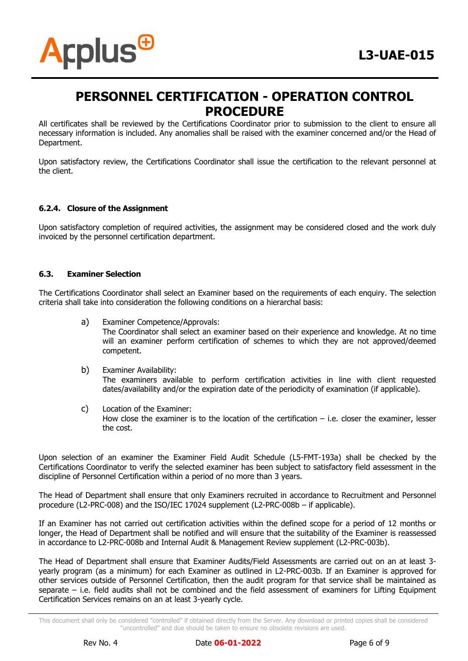

All certificates shall be reviewed by the Certifications Coordinator prior to submission to the client to ensure all necessary information is included. Any anomalies shall be raised with the examiner concerned and/or the Head of Department.

Upon satisfactory review, the Certifications Coordinator shall issue the certification to the relevant personnel at the client.

## **6.2.4. Closure of the Assignment**

Upon satisfactory completion of required activities, the assignment may be considered closed and the work duly invoiced by the personnel certification department.

#### **6.3. Examiner Selection**

The Certifications Coordinator shall select an Examiner based on the requirements of each enquiry. The selection criteria shall take into consideration the following conditions on a hierarchal basis:

a) Examiner Competence/Approvals:

The Coordinator shall select an examiner based on their experience and knowledge. At no time will an examiner perform certification of schemes to which they are not approved/deemed competent.

- b) Examiner Availability: The examiners available to perform certification activities in line with client requested dates/availability and/or the expiration date of the periodicity of examination (if applicable).
- c) Location of the Examiner: How close the examiner is to the location of the certification – i.e. closer the examiner, lesser the cost.

Upon selection of an examiner the Examiner Field Audit Schedule (L5-FMT-193a) shall be checked by the Certifications Coordinator to verify the selected examiner has been subject to satisfactory field assessment in the discipline of Personnel Certification within a period of no more than 3 years.

The Head of Department shall ensure that only Examiners recruited in accordance to Recruitment and Personnel procedure (L2-PRC-008) and the ISO/IEC 17024 supplement (L2-PRC-008b – if applicable).

If an Examiner has not carried out certification activities within the defined scope for a period of 12 months or longer, the Head of Department shall be notified and will ensure that the suitability of the Examiner is reassessed in accordance to L2-PRC-008b and Internal Audit & Management Review supplement (L2-PRC-003b).

The Head of Department shall ensure that Examiner Audits/Field Assessments are carried out on an at least 3 yearly program (as a minimum) for each Examiner as outlined in L2-PRC-003b. If an Examiner is approved for other services outside of Personnel Certification, then the audit program for that service shall be maintained as separate – i.e. field audits shall not be combined and the field assessment of examiners for Lifting Equipment Certification Services remains on an at least 3-yearly cycle.



This document shall only be considered "controlled" if obtained directly from the Server. Any download or printed copies shall be considered "uncontrolled" and due should be taken to ensure no obsolete revisions are used.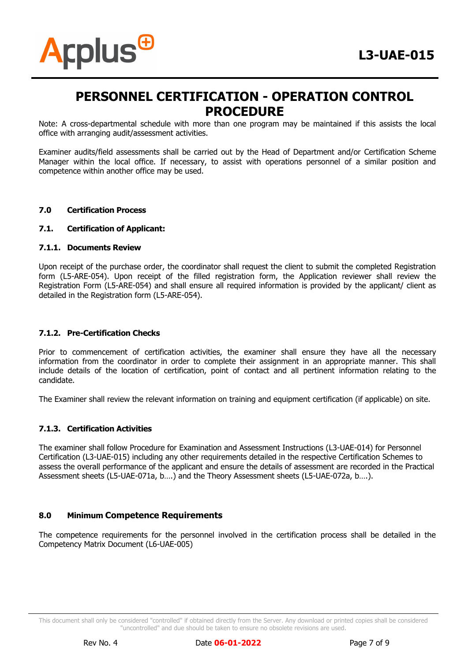



Note: A cross-departmental schedule with more than one program may be maintained if this assists the local office with arranging audit/assessment activities.

Examiner audits/field assessments shall be carried out by the Head of Department and/or Certification Scheme Manager within the local office. If necessary, to assist with operations personnel of a similar position and competence within another office may be used.

#### **7.0 Certification Process**

**Arplus<sup>@</sup>** 

#### **7.1. Certification of Applicant:**

#### **7.1.1. Documents Review**

Upon receipt of the purchase order, the coordinator shall request the client to submit the completed Registration form (L5-ARE-054). Upon receipt of the filled registration form, the Application reviewer shall review the Registration Form (L5-ARE-054) and shall ensure all required information is provided by the applicant/ client as detailed in the Registration form (L5-ARE-054).

#### **7.1.2. Pre-Certification Checks**

Prior to commencement of certification activities, the examiner shall ensure they have all the necessary information from the coordinator in order to complete their assignment in an appropriate manner. This shall include details of the location of certification, point of contact and all pertinent information relating to the candidate.

The Examiner shall review the relevant information on training and equipment certification (if applicable) on site.

#### **7.1.3. Certification Activities**

The examiner shall follow Procedure for Examination and Assessment Instructions (L3-UAE-014) for Personnel Certification (L3-UAE-015) including any other requirements detailed in the respective Certification Schemes to assess the overall performance of the applicant and ensure the details of assessment are recorded in the Practical Assessment sheets (L5-UAE-071a, b….) and the Theory Assessment sheets (L5-UAE-072a, b….).

#### **8.0 Minimum Competence Requirements**

The competence requirements for the personnel involved in the certification process shall be detailed in the Competency Matrix Document (L6-UAE-005)

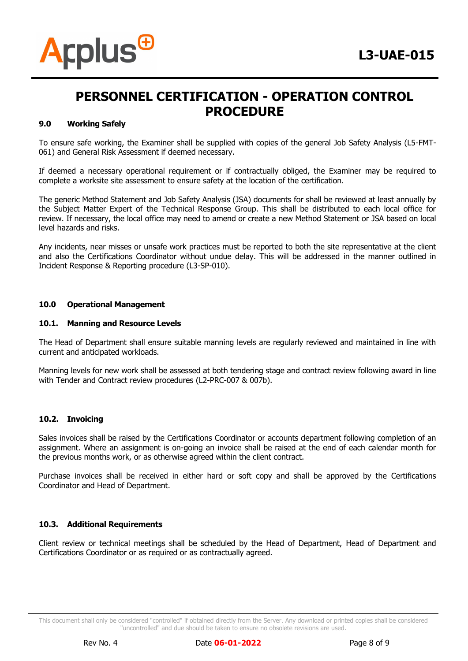

#### **9.0 Working Safely**

To ensure safe working, the Examiner shall be supplied with copies of the general Job Safety Analysis (L5-FMT-061) and General Risk Assessment if deemed necessary.

If deemed a necessary operational requirement or if contractually obliged, the Examiner may be required to complete a worksite site assessment to ensure safety at the location of the certification.

The generic Method Statement and Job Safety Analysis (JSA) documents for shall be reviewed at least annually by the Subject Matter Expert of the Technical Response Group. This shall be distributed to each local office for review. If necessary, the local office may need to amend or create a new Method Statement or JSA based on local level hazards and risks.

Any incidents, near misses or unsafe work practices must be reported to both the site representative at the client and also the Certifications Coordinator without undue delay. This will be addressed in the manner outlined in Incident Response & Reporting procedure (L3-SP-010).

#### **10.0 Operational Management**

#### **10.1. Manning and Resource Levels**

The Head of Department shall ensure suitable manning levels are regularly reviewed and maintained in line with current and anticipated workloads.

Manning levels for new work shall be assessed at both tendering stage and contract review following award in line with Tender and Contract review procedures (L2-PRC-007 & 007b).

#### **10.2. Invoicing**

Sales invoices shall be raised by the Certifications Coordinator or accounts department following completion of an assignment. Where an assignment is on-going an invoice shall be raised at the end of each calendar month for the previous months work, or as otherwise agreed within the client contract.

Purchase invoices shall be received in either hard or soft copy and shall be approved by the Certifications Coordinator and Head of Department.

#### **10.3. Additional Requirements**

Client review or technical meetings shall be scheduled by the Head of Department, Head of Department and Certifications Coordinator or as required or as contractually agreed.